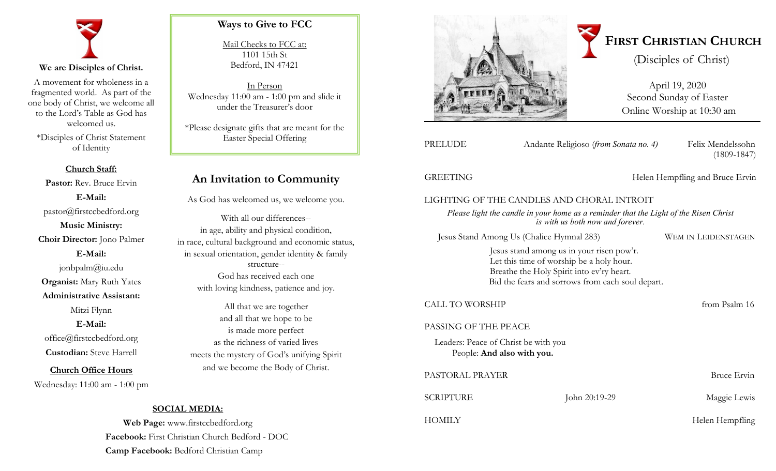

A movement for wholeness in a fragmented world. As part of the one body of Christ, we welcome all to the Lord's Table as God has welcomed us.

\*Disciples of Christ Statement of Identity

**Church Staff: Pastor:** Rev. Bruce Ervin **E-Mail:** pastor@firstccbedford.org **Music Ministry: Choir Director:** Jono Palmer **E-Mail:** jonbpalm@iu.edu **Organist:** Mary Ruth Yates **Administrative Assistant:**  Mitzi Flynn **E-Mail:** office@firstccbedford.org **Custodian:** Steve Harrell

**Church Office Hours** Wednesday: 11:00 am - 1:00 pm

# **Ways to Give to FCC**

Mail Checks to FCC at: 1101 15th St Bedford, IN 47421

In Person Wednesday 11:00 am - 1:00 pm and slide it under the Treasurer's door

\*Please designate gifts that are meant for the Easter Special Offering

# **An Invitation to Community**

As God has welcomed us, we welcome you.

With all our differences- in age, ability and physical condition, in race, cultural background and economic status, in sexual orientation, gender identity & family structure-- God has received each one with loving kindness, patience and joy.

All that we are together and all that we hope to be is made more perfect as the richness of varied lives meets the mystery of God's unifying Spirit and we become the Body of Christ.



April 19, 2020 Second Sunday of Easter Online Worship at 10:30 am

Andante Religioso (*from Sonata no. 4*) Felix Mendelssohn

(1809-1847)

GREETING Helen Hempfling and Bruce Ervin

# LIGHTING OF THE CANDLES AND CHORAL INTROIT

*Please light the candle in your home as a reminder that the Light of the Risen Christ is with us both now and forever.*

Jesus Stand Among Us (Chalice Hymnal 283) WEM IN LEIDENSTAGEN

Jesus stand among us in your risen pow'r. Let this time of worship be a holy hour. Breathe the Holy Spirit into ev'ry heart. Bid the fears and sorrows from each soul depart.

# CALL TO WORSHIP **from Psalm 16**

## PASSING OF THE PEACE

Leaders: Peace of Christ be with you People: **And also with you.** 

| PASTORAL PRAYER  |               | Bruce Ervin     |
|------------------|---------------|-----------------|
| <b>SCRIPTURE</b> | John 20:19-29 | Maggie Lewis    |
| HOMILY           |               | Helen Hempfling |

# **SOCIAL MEDIA:**

**Web Page:** www.firstccbedford.org **Facebook:** First Christian Church Bedford - DOC **Camp Facebook:** Bedford Christian Camp